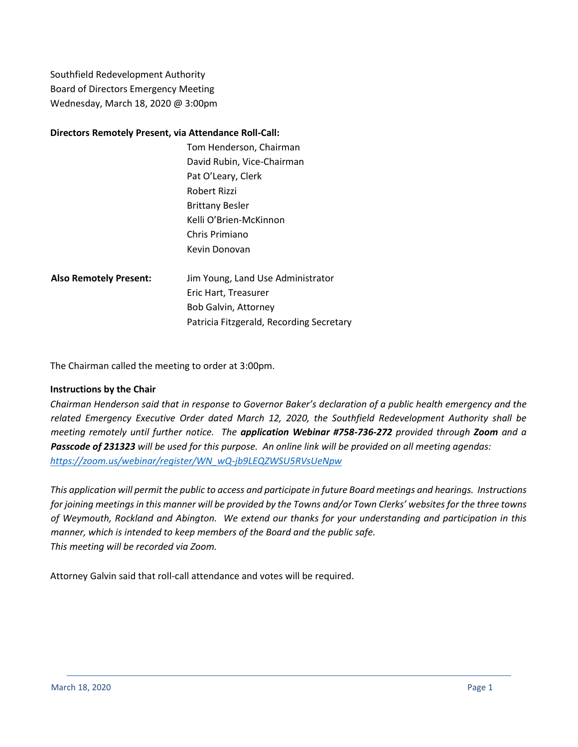Southfield Redevelopment Authority Board of Directors Emergency Meeting Wednesday, March 18, 2020 @ 3:00pm

### **Directors Remotely Present, via Attendance Roll-Call:**

- Tom Henderson, Chairman David Rubin, Vice-Chairman Pat O'Leary, Clerk Robert Rizzi Brittany Besler Kelli O'Brien-McKinnon Chris Primiano Kevin Donovan
- **Also Remotely Present:** Jim Young, Land Use Administrator Eric Hart, Treasurer Bob Galvin, Attorney Patricia Fitzgerald, Recording Secretary

The Chairman called the meeting to order at 3:00pm.

### **Instructions by the Chair**

*Chairman Henderson said that in response to Governor Baker's declaration of a public health emergency and the related Emergency Executive Order dated March 12, 2020, the Southfield Redevelopment Authority shall be meeting remotely until further notice. The application Webinar #758-736-272 provided through Zoom and a Passcode of 231323 will be used for this purpose. An online link will be provided on all meeting agendas: [https://zoom.us/webinar/register/WN\\_wQ-jb9LEQZWSU5RVsUeNpw](https://zoom.us/webinar/register/WN_wQ-jb9LEQZWSU5RVsUeNpw)*

*This application will permit the public to access and participate in future Board meetings and hearings. Instructions for joining meetings in this manner will be provided by the Towns and/or Town Clerks' websites for the three towns of Weymouth, Rockland and Abington. We extend our thanks for your understanding and participation in this manner, which is intended to keep members of the Board and the public safe. This meeting will be recorded via Zoom.* 

Attorney Galvin said that roll-call attendance and votes will be required.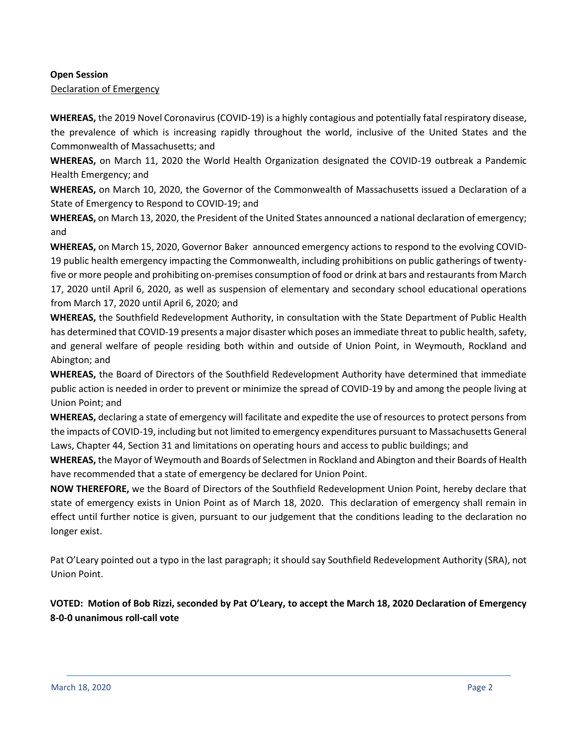### **Open Session**

Declaration of Emergency

**WHEREAS,** the 2019 Novel Coronavirus (COVID-19) is a highly contagious and potentially fatal respiratory disease, the prevalence of which is increasing rapidly throughout the world, inclusive of the United States and the Commonwealth of Massachusetts; and

**WHEREAS,** on March 11, 2020 the World Health Organization designated the COVID-19 outbreak a Pandemic Health Emergency; and

**WHEREAS,** on March 10, 2020, the Governor of the Commonwealth of Massachusetts issued a Declaration of a State of Emergency to Respond to COVID-19; and

**WHEREAS,** on March 13, 2020, the President of the United States announced a national declaration of emergency; and

**WHEREAS,** on March 15, 2020, Governor Baker announced emergency actions to respond to the evolving COVID-19 public health emergency impacting the Commonwealth, including prohibitions on public gatherings of twentyfive or more people and prohibiting on-premises consumption of food or drink at bars and restaurants from March 17, 2020 until April 6, 2020, as well as suspension of elementary and secondary school educational operations from March 17, 2020 until April 6, 2020; and

**WHEREAS,** the Southfield Redevelopment Authority, in consultation with the State Department of Public Health has determined that COVID-19 presents a major disaster which poses an immediate threat to public health, safety, and general welfare of people residing both within and outside of Union Point, in Weymouth, Rockland and Abington; and

**WHEREAS,** the Board of Directors of the Southfield Redevelopment Authority have determined that immediate public action is needed in order to prevent or minimize the spread of COVID-19 by and among the people living at Union Point; and

**WHEREAS,** declaring a state of emergency will facilitate and expedite the use of resources to protect persons from the impacts of COVID-19, including but not limited to emergency expenditures pursuant to Massachusetts General Laws, Chapter 44, Section 31 and limitations on operating hours and access to public buildings; and

**WHEREAS,** the Mayor of Weymouth and Boards of Selectmen in Rockland and Abington and their Boards of Health have recommended that a state of emergency be declared for Union Point.

**NOW THEREFORE,** we the Board of Directors of the Southfield Redevelopment Union Point, hereby declare that state of emergency exists in Union Point as of March 18, 2020. This declaration of emergency shall remain in effect until further notice is given, pursuant to our judgement that the conditions leading to the declaration no longer exist.

Pat O'Leary pointed out a typo in the last paragraph; it should say Southfield Redevelopment Authority (SRA), not Union Point.

**VOTED: Motion of Bob Rizzi, seconded by Pat O'Leary, to accept the March 18, 2020 Declaration of Emergency 8-0-0 unanimous roll-call vote**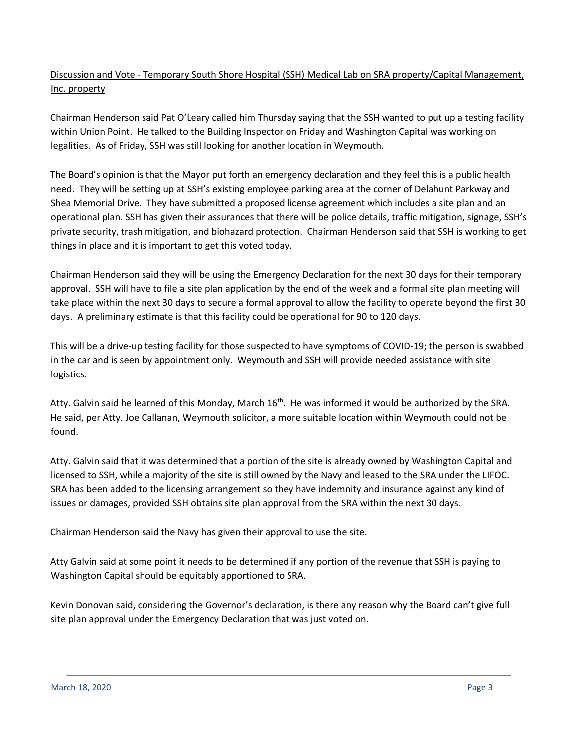## Discussion and Vote - Temporary South Shore Hospital (SSH) Medical Lab on SRA property/Capital Management, Inc. property

Chairman Henderson said Pat O'Leary called him Thursday saying that the SSH wanted to put up a testing facility within Union Point. He talked to the Building Inspector on Friday and Washington Capital was working on legalities. As of Friday, SSH was still looking for another location in Weymouth.

The Board's opinion is that the Mayor put forth an emergency declaration and they feel this is a public health need. They will be setting up at SSH's existing employee parking area at the corner of Delahunt Parkway and Shea Memorial Drive. They have submitted a proposed license agreement which includes a site plan and an operational plan. SSH has given their assurances that there will be police details, traffic mitigation, signage, SSH's private security, trash mitigation, and biohazard protection. Chairman Henderson said that SSH is working to get things in place and it is important to get this voted today.

Chairman Henderson said they will be using the Emergency Declaration for the next 30 days for their temporary approval. SSH will have to file a site plan application by the end of the week and a formal site plan meeting will take place within the next 30 days to secure a formal approval to allow the facility to operate beyond the first 30 days. A preliminary estimate is that this facility could be operational for 90 to 120 days.

This will be a drive-up testing facility for those suspected to have symptoms of COVID-19; the person is swabbed in the car and is seen by appointment only. Weymouth and SSH will provide needed assistance with site logistics.

Atty. Galvin said he learned of this Monday, March  $16<sup>th</sup>$ . He was informed it would be authorized by the SRA. He said, per Atty. Joe Callanan, Weymouth solicitor, a more suitable location within Weymouth could not be found.

Atty. Galvin said that it was determined that a portion of the site is already owned by Washington Capital and licensed to SSH, while a majority of the site is still owned by the Navy and leased to the SRA under the LIFOC. SRA has been added to the licensing arrangement so they have indemnity and insurance against any kind of issues or damages, provided SSH obtains site plan approval from the SRA within the next 30 days.

Chairman Henderson said the Navy has given their approval to use the site.

Atty Galvin said at some point it needs to be determined if any portion of the revenue that SSH is paying to Washington Capital should be equitably apportioned to SRA.

Kevin Donovan said, considering the Governor's declaration, is there any reason why the Board can't give full site plan approval under the Emergency Declaration that was just voted on.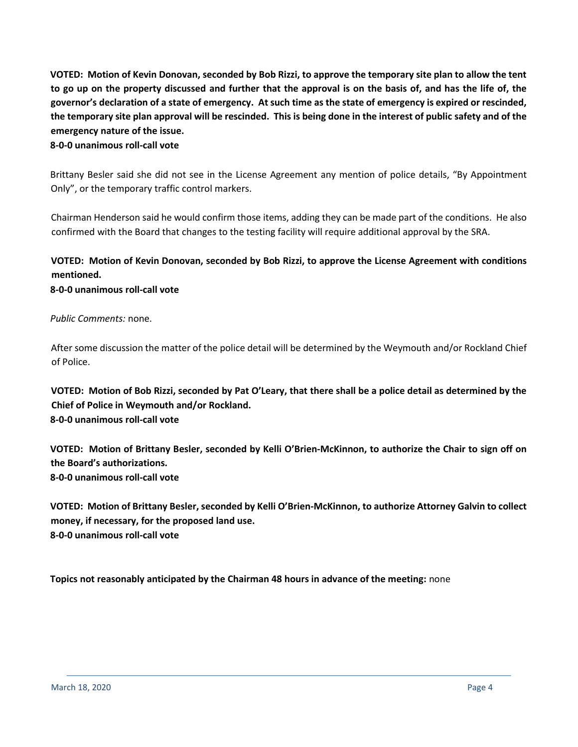**VOTED: Motion of Kevin Donovan, seconded by Bob Rizzi, to approve the temporary site plan to allow the tent to go up on the property discussed and further that the approval is on the basis of, and has the life of, the governor's declaration of a state of emergency. At such time as the state of emergency is expired or rescinded, the temporary site plan approval will be rescinded. This is being done in the interest of public safety and of the emergency nature of the issue.**

## **8-0-0 unanimous roll-call vote**

Brittany Besler said she did not see in the License Agreement any mention of police details, "By Appointment Only", or the temporary traffic control markers.

Chairman Henderson said he would confirm those items, adding they can be made part of the conditions. He also confirmed with the Board that changes to the testing facility will require additional approval by the SRA.

## **VOTED: Motion of Kevin Donovan, seconded by Bob Rizzi, to approve the License Agreement with conditions mentioned.**

**8-0-0 unanimous roll-call vote**

## *Public Comments:* none.

After some discussion the matter of the police detail will be determined by the Weymouth and/or Rockland Chief of Police.

**VOTED: Motion of Bob Rizzi, seconded by Pat O'Leary, that there shall be a police detail as determined by the Chief of Police in Weymouth and/or Rockland. 8-0-0 unanimous roll-call vote** 

**VOTED: Motion of Brittany Besler, seconded by Kelli O'Brien-McKinnon, to authorize the Chair to sign off on the Board's authorizations. 8-0-0 unanimous roll-call vote** 

**VOTED: Motion of Brittany Besler, seconded by Kelli O'Brien-McKinnon, to authorize Attorney Galvin to collect money, if necessary, for the proposed land use. 8-0-0 unanimous roll-call vote** 

**Topics not reasonably anticipated by the Chairman 48 hours in advance of the meeting:** none